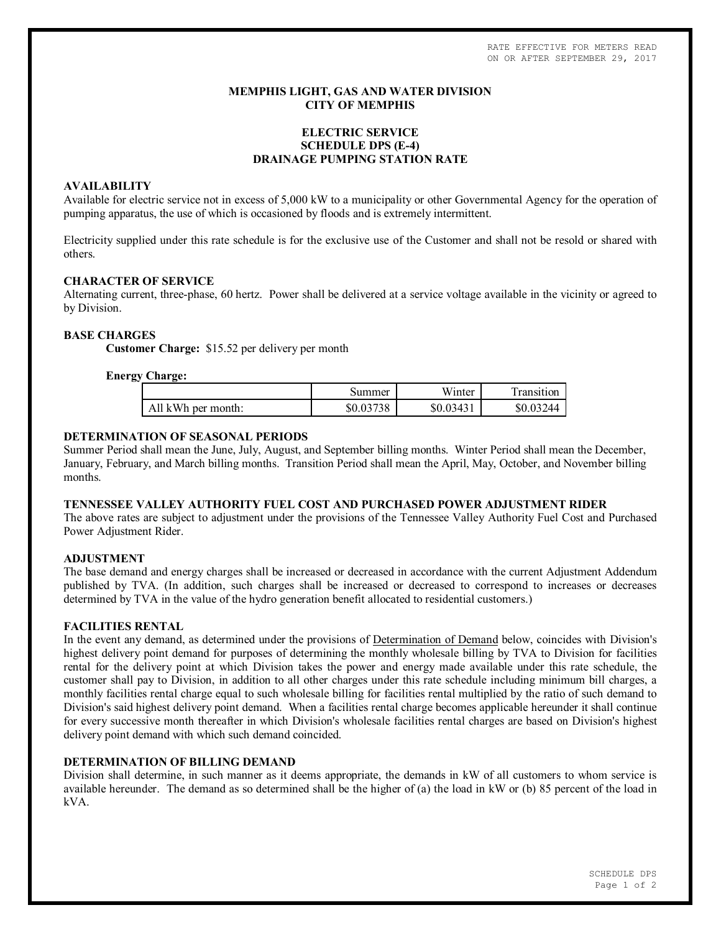RATE EFFECTIVE FOR METERS READ ON OR AFTER SEPTEMBER 29, 2017

## **MEMPHIS LIGHT, GAS AND WATER DIVISION CITY OF MEMPHIS**

# **ELECTRIC SERVICE SCHEDULE DPS (E-4) DRAINAGE PUMPING STATION RATE**

### **AVAILABILITY**

Available for electric service not in excess of 5,000 kW to a municipality or other Governmental Agency for the operation of pumping apparatus, the use of which is occasioned by floods and is extremely intermittent.

Electricity supplied under this rate schedule is for the exclusive use of the Customer and shall not be resold or shared with others.

## **CHARACTER OF SERVICE**

Alternating current, three-phase, 60 hertz. Power shall be delivered at a service voltage available in the vicinity or agreed to by Division.

## **BASE CHARGES**

**Customer Charge:** \$15.52 per delivery per month

## **Energy Charge:**

|                    | Summer    | Winter    | i ransıtıon |
|--------------------|-----------|-----------|-------------|
| All kWh per month: | \$0.03738 | \$0.03431 | 244         |

## **DETERMINATION OF SEASONAL PERIODS**

Summer Period shall mean the June, July, August, and September billing months. Winter Period shall mean the December, January, February, and March billing months. Transition Period shall mean the April, May, October, and November billing months.

#### **TENNESSEE VALLEY AUTHORITY FUEL COST AND PURCHASED POWER ADJUSTMENT RIDER**

The above rates are subject to adjustment under the provisions of the Tennessee Valley Authority Fuel Cost and Purchased Power Adjustment Rider.

## **ADJUSTMENT**

The base demand and energy charges shall be increased or decreased in accordance with the current Adjustment Addendum published by TVA. (In addition, such charges shall be increased or decreased to correspond to increases or decreases determined by TVA in the value of the hydro generation benefit allocated to residential customers.)

### **FACILITIES RENTAL**

In the event any demand, as determined under the provisions of Determination of Demand below, coincides with Division's highest delivery point demand for purposes of determining the monthly wholesale billing by TVA to Division for facilities rental for the delivery point at which Division takes the power and energy made available under this rate schedule, the customer shall pay to Division, in addition to all other charges under this rate schedule including minimum bill charges, a monthly facilities rental charge equal to such wholesale billing for facilities rental multiplied by the ratio of such demand to Division's said highest delivery point demand. When a facilities rental charge becomes applicable hereunder it shall continue for every successive month thereafter in which Division's wholesale facilities rental charges are based on Division's highest delivery point demand with which such demand coincided.

# **DETERMINATION OF BILLING DEMAND**

Division shall determine, in such manner as it deems appropriate, the demands in kW of all customers to whom service is available hereunder. The demand as so determined shall be the higher of (a) the load in kW or (b) 85 percent of the load in kVA.